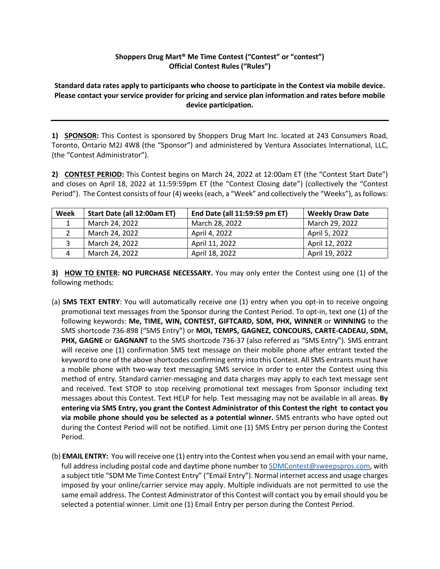## **Shoppers Drug Mart® Me Time Contest ("Contest" or "contest") Official Contest Rules ("Rules")**

**Standard data rates apply to participants who choose to participate in the Contest via mobile device. Please contact your service provider for pricing and service plan information and rates before mobile device participation.**

**1) SPONSOR:** This Contest is sponsored by Shoppers Drug Mart Inc. located at 243 Consumers Road, Toronto, Ontario M2J 4W8 (the "Sponsor") and administered by Ventura Associates International, LLC, (the "Contest Administrator").

**2) CONTEST PERIOD:** This Contest begins on March 24, 2022 at 12:00am ET (the "Contest Start Date") and closes on April 18, 2022 at 11:59:59pm ET (the "Contest Closing date") (collectively the "Contest Period"). The Contest consists of four (4) weeks (each, a "Week" and collectively the "Weeks"), as follows:

| Week         | Start Date (all 12:00am ET) | End Date (all 11:59:59 pm ET) | <b>Weekly Draw Date</b> |
|--------------|-----------------------------|-------------------------------|-------------------------|
|              | March 24, 2022              | March 28, 2022                | March 29, 2022          |
|              | March 24, 2022              | April 4, 2022                 | April 5, 2022           |
| $\mathbf{a}$ | March 24, 2022              | April 11, 2022                | April 12, 2022          |
| Δ            | March 24, 2022              | April 18, 2022                | April 19, 2022          |

**3) HOW TO ENTER: NO PURCHASE NECESSARY.** You may only enter the Contest using one (1) of the following methods:

- (a) **SMS TEXT ENTRY**: You will automatically receive one (1) entry when you opt-in to receive ongoing promotional text messages from the Sponsor during the Contest Period. To opt-in, text one (1) of the following keywords: **Me, TIME, WIN, CONTEST, GIFTCARD, SDM, PHX, WINNER** or **WINNING** to the SMS shortcode 736-898 ("SMS Entry") or **MOI, TEMPS, GAGNEZ, CONCOURS, CARTE-CADEAU, SDM, PHX, GAGNE** or **GAGNANT** to the SMS shortcode 736-37 (also referred as "SMS Entry"). SMS entrant will receive one (1) confirmation SMS text message on their mobile phone after entrant texted the keyword to one of the above shortcodes confirming entry into this Contest. All SMS entrants must have a mobile phone with two-way text messaging SMS service in order to enter the Contest using this method of entry. Standard carrier-messaging and data charges may apply to each text message sent and received. Text STOP to stop receiving promotional text messages from Sponsor including text messages about this Contest. Text HELP for help. Text messaging may not be available in all areas. **By entering via SMS Entry, you grant the Contest Administrator of this Contest the right to contact you via mobile phone should you be selected as a potential winner.** SMS entrants who have opted out during the Contest Period will not be notified. Limit one (1) SMS Entry per person during the Contest Period.
- (b) **EMAIL ENTRY:** You will receive one (1) entry into the Contest when you send an email with your name, full address including postal code and daytime phone number to SDMContest@sweepspros.com, with a subject title "SDM Me Time Contest Entry" ("Email Entry"). Normal internet access and usage charges imposed by your online/carrier service may apply. Multiple individuals are not permitted to use the same email address. The Contest Administrator of this Contest will contact you by email should you be selected a potential winner. Limit one (1) Email Entry per person during the Contest Period.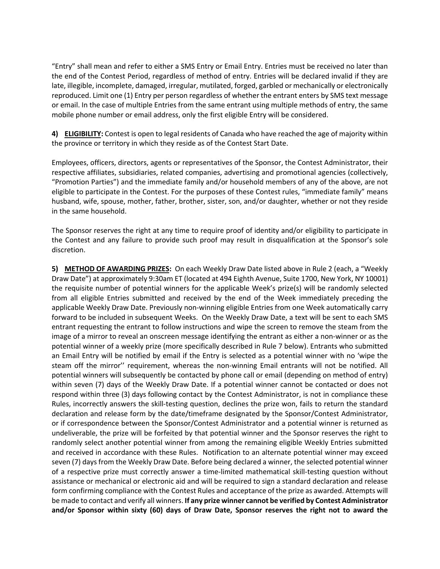"Entry" shall mean and refer to either a SMS Entry or Email Entry. Entries must be received no later than the end of the Contest Period, regardless of method of entry. Entries will be declared invalid if they are late, illegible, incomplete, damaged, irregular, mutilated, forged, garbled or mechanically or electronically reproduced. Limit one (1) Entry per person regardless of whether the entrant enters by SMS text message or email. In the case of multiple Entries from the same entrant using multiple methods of entry, the same mobile phone number or email address, only the first eligible Entry will be considered.

**4) ELIGIBILITY:** Contest is open to legal residents of Canada who have reached the age of majority within the province or territory in which they reside as of the Contest Start Date.

Employees, officers, directors, agents or representatives of the Sponsor, the Contest Administrator, their respective affiliates, subsidiaries, related companies, advertising and promotional agencies (collectively, "Promotion Parties") and the immediate family and/or household members of any of the above, are not eligible to participate in the Contest. For the purposes of these Contest rules, "immediate family" means husband, wife, spouse, mother, father, brother, sister, son, and/or daughter, whether or not they reside in the same household.

The Sponsor reserves the right at any time to require proof of identity and/or eligibility to participate in the Contest and any failure to provide such proof may result in disqualification at the Sponsor's sole discretion.

**5) METHOD OF AWARDING PRIZES:** On each Weekly Draw Date listed above in Rule 2 (each, a "Weekly Draw Date") at approximately 9:30am ET (located at 494 Eighth Avenue, Suite 1700, New York, NY 10001) the requisite number of potential winners for the applicable Week's prize(s) will be randomly selected from all eligible Entries submitted and received by the end of the Week immediately preceding the applicable Weekly Draw Date. Previously non-winning eligible Entries from one Week automatically carry forward to be included in subsequent Weeks. On the Weekly Draw Date, a text will be sent to each SMS entrant requesting the entrant to follow instructions and wipe the screen to remove the steam from the image of a mirror to reveal an onscreen message identifying the entrant as either a non-winner or as the potential winner of a weekly prize (more specifically described in Rule 7 below). Entrants who submitted an Email Entry will be notified by email if the Entry is selected as a potential winner with no 'wipe the steam off the mirror'' requirement, whereas the non-winning Email entrants will not be notified. All potential winners will subsequently be contacted by phone call or email (depending on method of entry) within seven (7) days of the Weekly Draw Date. If a potential winner cannot be contacted or does not respond within three (3) days following contact by the Contest Administrator, is not in compliance these Rules, incorrectly answers the skill-testing question, declines the prize won, fails to return the standard declaration and release form by the date/timeframe designated by the Sponsor/Contest Administrator, or if correspondence between the Sponsor/Contest Administrator and a potential winner is returned as undeliverable, the prize will be forfeited by that potential winner and the Sponsor reserves the right to randomly select another potential winner from among the remaining eligible Weekly Entries submitted and received in accordance with these Rules. Notification to an alternate potential winner may exceed seven (7) days from the Weekly Draw Date. Before being declared a winner, the selected potential winner of a respective prize must correctly answer a time-limited mathematical skill-testing question without assistance or mechanical or electronic aid and will be required to sign a standard declaration and release form confirming compliance with the Contest Rules and acceptance of the prize as awarded. Attempts will be made to contact and verify all winners. **If any prize winner cannot be verified by Contest Administrator and/or Sponsor within sixty (60) days of Draw Date, Sponsor reserves the right not to award the**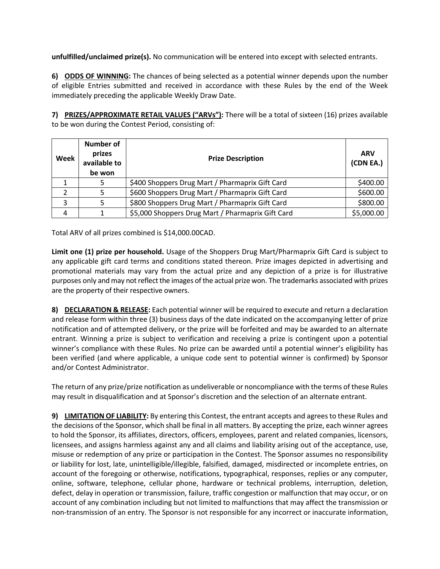**unfulfilled/unclaimed prize(s).** No communication will be entered into except with selected entrants.

**6) ODDS OF WINNING:** The chances of being selected as a potential winner depends upon the number of eligible Entries submitted and received in accordance with these Rules by the end of the Week immediately preceding the applicable Weekly Draw Date.

**7) PRIZES/APPROXIMATE RETAIL VALUES ("ARVs"):** There will be a total of sixteen (16) prizes available to be won during the Contest Period, consisting of:

| Week | <b>Number of</b><br>prizes<br>available to<br>be won | <b>Prize Description</b>                          | <b>ARV</b><br>(CDN EA.) |
|------|------------------------------------------------------|---------------------------------------------------|-------------------------|
|      |                                                      | \$400 Shoppers Drug Mart / Pharmaprix Gift Card   | \$400.00                |
|      |                                                      | \$600 Shoppers Drug Mart / Pharmaprix Gift Card   | \$600.00                |
| っ    |                                                      | \$800 Shoppers Drug Mart / Pharmaprix Gift Card   | \$800.00                |
| Λ    |                                                      | \$5,000 Shoppers Drug Mart / Pharmaprix Gift Card | \$5,000.00              |

Total ARV of all prizes combined is \$14,000.00CAD.

**Limit one (1) prize per household.** Usage of the Shoppers Drug Mart/Pharmaprix Gift Card is subject to any applicable gift card terms and conditions stated thereon. Prize images depicted in advertising and promotional materials may vary from the actual prize and any depiction of a prize is for illustrative purposes only and may not reflect the images of the actual prize won. The trademarks associated with prizes are the property of their respective owners.

**8) DECLARATION & RELEASE:** Each potential winner will be required to execute and return a declaration and release form within three (3) business days of the date indicated on the accompanying letter of prize notification and of attempted delivery, or the prize will be forfeited and may be awarded to an alternate entrant. Winning a prize is subject to verification and receiving a prize is contingent upon a potential winner's compliance with these Rules. No prize can be awarded until a potential winner's eligibility has been verified (and where applicable, a unique code sent to potential winner is confirmed) by Sponsor and/or Contest Administrator.

The return of any prize/prize notification as undeliverable or noncompliance with the terms of these Rules may result in disqualification and at Sponsor's discretion and the selection of an alternate entrant.

**9) LIMITATION OF LIABILITY:** By entering this Contest, the entrant accepts and agrees to these Rules and the decisions of the Sponsor, which shall be final in all matters. By accepting the prize, each winner agrees to hold the Sponsor, its affiliates, directors, officers, employees, parent and related companies, licensors, licensees, and assigns harmless against any and all claims and liability arising out of the acceptance, use, misuse or redemption of any prize or participation in the Contest. The Sponsor assumes no responsibility or liability for lost, late, unintelligible/illegible, falsified, damaged, misdirected or incomplete entries, on account of the foregoing or otherwise, notifications, typographical, responses, replies or any computer, online, software, telephone, cellular phone, hardware or technical problems, interruption, deletion, defect, delay in operation or transmission, failure, traffic congestion or malfunction that may occur, or on account of any combination including but not limited to malfunctions that may affect the transmission or non-transmission of an entry. The Sponsor is not responsible for any incorrect or inaccurate information,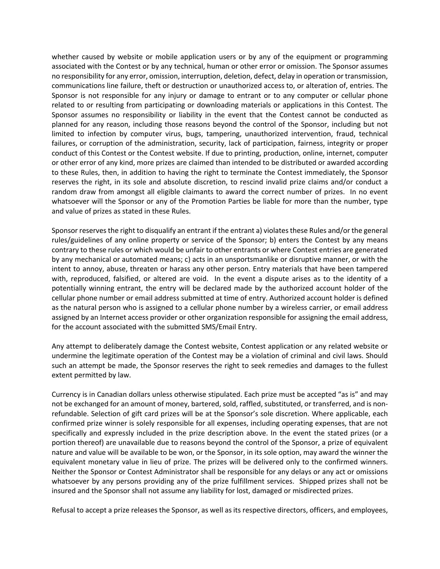whether caused by website or mobile application users or by any of the equipment or programming associated with the Contest or by any technical, human or other error or omission. The Sponsor assumes no responsibility for any error, omission, interruption, deletion, defect, delay in operation or transmission, communications line failure, theft or destruction or unauthorized access to, or alteration of, entries. The Sponsor is not responsible for any injury or damage to entrant or to any computer or cellular phone related to or resulting from participating or downloading materials or applications in this Contest. The Sponsor assumes no responsibility or liability in the event that the Contest cannot be conducted as planned for any reason, including those reasons beyond the control of the Sponsor, including but not limited to infection by computer virus, bugs, tampering, unauthorized intervention, fraud, technical failures, or corruption of the administration, security, lack of participation, fairness, integrity or proper conduct of this Contest or the Contest website. If due to printing, production, online, internet, computer or other error of any kind, more prizes are claimed than intended to be distributed or awarded according to these Rules, then, in addition to having the right to terminate the Contest immediately, the Sponsor reserves the right, in its sole and absolute discretion, to rescind invalid prize claims and/or conduct a random draw from amongst all eligible claimants to award the correct number of prizes. In no event whatsoever will the Sponsor or any of the Promotion Parties be liable for more than the number, type and value of prizes as stated in these Rules.

Sponsor reserves the right to disqualify an entrant if the entrant a) violates these Rules and/or the general rules/guidelines of any online property or service of the Sponsor; b) enters the Contest by any means contrary to these rules or which would be unfair to other entrants or where Contest entries are generated by any mechanical or automated means; c) acts in an unsportsmanlike or disruptive manner, or with the intent to annoy, abuse, threaten or harass any other person. Entry materials that have been tampered with, reproduced, falsified, or altered are void. In the event a dispute arises as to the identity of a potentially winning entrant, the entry will be declared made by the authorized account holder of the cellular phone number or email address submitted at time of entry. Authorized account holder is defined as the natural person who is assigned to a cellular phone number by a wireless carrier, or email address assigned by an Internet access provider or other organization responsible for assigning the email address, for the account associated with the submitted SMS/Email Entry.

Any attempt to deliberately damage the Contest website, Contest application or any related website or undermine the legitimate operation of the Contest may be a violation of criminal and civil laws. Should such an attempt be made, the Sponsor reserves the right to seek remedies and damages to the fullest extent permitted by law.

Currency is in Canadian dollars unless otherwise stipulated. Each prize must be accepted "as is" and may not be exchanged for an amount of money, bartered, sold, raffled, substituted, or transferred, and is nonrefundable. Selection of gift card prizes will be at the Sponsor's sole discretion. Where applicable, each confirmed prize winner is solely responsible for all expenses, including operating expenses, that are not specifically and expressly included in the prize description above. In the event the stated prizes (or a portion thereof) are unavailable due to reasons beyond the control of the Sponsor, a prize of equivalent nature and value will be available to be won, or the Sponsor, in its sole option, may award the winner the equivalent monetary value in lieu of prize. The prizes will be delivered only to the confirmed winners. Neither the Sponsor or Contest Administrator shall be responsible for any delays or any act or omissions whatsoever by any persons providing any of the prize fulfillment services. Shipped prizes shall not be insured and the Sponsor shall not assume any liability for lost, damaged or misdirected prizes.

Refusal to accept a prize releases the Sponsor, as well as its respective directors, officers, and employees,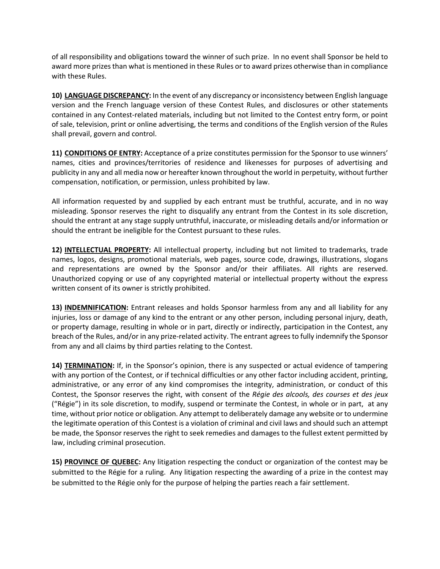of all responsibility and obligations toward the winner of such prize. In no event shall Sponsor be held to award more prizes than what is mentioned in these Rules or to award prizes otherwise than in compliance with these Rules.

**10) LANGUAGE DISCREPANCY:** In the event of any discrepancy or inconsistency between English language version and the French language version of these Contest Rules, and disclosures or other statements contained in any Contest-related materials, including but not limited to the Contest entry form, or point of sale, television, print or online advertising, the terms and conditions of the English version of the Rules shall prevail, govern and control.

**11) CONDITIONS OF ENTRY:** Acceptance of a prize constitutes permission for the Sponsor to use winners' names, cities and provinces/territories of residence and likenesses for purposes of advertising and publicity in any and all media now or hereafter known throughout the world in perpetuity, without further compensation, notification, or permission, unless prohibited by law.

All information requested by and supplied by each entrant must be truthful, accurate, and in no way misleading. Sponsor reserves the right to disqualify any entrant from the Contest in its sole discretion, should the entrant at any stage supply untruthful, inaccurate, or misleading details and/or information or should the entrant be ineligible for the Contest pursuant to these rules.

**12) INTELLECTUAL PROPERTY:** All intellectual property, including but not limited to trademarks, trade names, logos, designs, promotional materials, web pages, source code, drawings, illustrations, slogans and representations are owned by the Sponsor and/or their affiliates. All rights are reserved. Unauthorized copying or use of any copyrighted material or intellectual property without the express written consent of its owner is strictly prohibited.

**13) INDEMNIFICATION:** Entrant releases and holds Sponsor harmless from any and all liability for any injuries, loss or damage of any kind to the entrant or any other person, including personal injury, death, or property damage, resulting in whole or in part, directly or indirectly, participation in the Contest, any breach of the Rules, and/or in any prize-related activity. The entrant agrees to fully indemnify the Sponsor from any and all claims by third parties relating to the Contest.

**14) TERMINATION:** If, in the Sponsor's opinion, there is any suspected or actual evidence of tampering with any portion of the Contest, or if technical difficulties or any other factor including accident, printing, administrative, or any error of any kind compromises the integrity, administration, or conduct of this Contest, the Sponsor reserves the right, with consent of the *Régie des alcools, des courses et des jeux* ("Régie") in its sole discretion, to modify, suspend or terminate the Contest, in whole or in part, at any time, without prior notice or obligation. Any attempt to deliberately damage any website or to undermine the legitimate operation of this Contest is a violation of criminal and civil laws and should such an attempt be made, the Sponsor reserves the right to seek remedies and damages to the fullest extent permitted by law, including criminal prosecution.

**15) PROVINCE OF QUEBEC:** Any litigation respecting the conduct or organization of the contest may be submitted to the Régie for a ruling. Any litigation respecting the awarding of a prize in the contest may be submitted to the Régie only for the purpose of helping the parties reach a fair settlement.